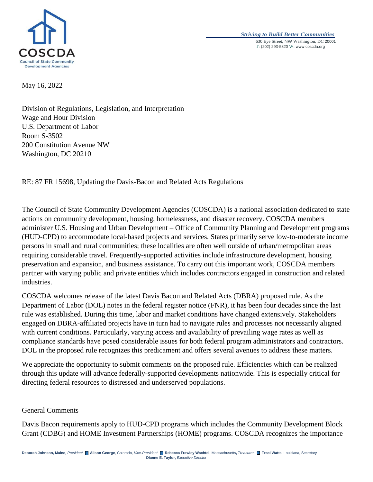

## *Striving to Build Better Communities* 630 Eye Street, NW Washington, DC 20001 T: (202) 293-5820 W: www.coscda.org

May 16, 2022

Division of Regulations, Legislation, and Interpretation Wage and Hour Division U.S. Department of Labor Room S-3502 200 Constitution Avenue NW Washington, DC 20210

RE: 87 FR 15698, Updating the Davis-Bacon and Related Acts Regulations

The Council of State Community Development Agencies (COSCDA) is a national association dedicated to state actions on community development, housing, homelessness, and disaster recovery. COSCDA members administer U.S. Housing and Urban Development – Office of Community Planning and Development programs (HUD-CPD) to accommodate local-based projects and services. States primarily serve low-to-moderate income persons in small and rural communities; these localities are often well outside of urban/metropolitan areas requiring considerable travel. Frequently-supported activities include infrastructure development, housing preservation and expansion, and business assistance. To carry out this important work, COSCDA members partner with varying public and private entities which includes contractors engaged in construction and related industries.

COSCDA welcomes release of the latest Davis Bacon and Related Acts (DBRA) proposed rule. As the Department of Labor (DOL) notes in the federal register notice (FNR), it has been four decades since the last rule was established. During this time, labor and market conditions have changed extensively. Stakeholders engaged on DBRA-affiliated projects have in turn had to navigate rules and processes not necessarily aligned with current conditions. Particularly, varying access and availability of prevailing wage rates as well as compliance standards have posed considerable issues for both federal program administrators and contractors. DOL in the proposed rule recognizes this predicament and offers several avenues to address these matters.

We appreciate the opportunity to submit comments on the proposed rule. Efficiencies which can be realized through this update will advance federally-supported developments nationwide. This is especially critical for directing federal resources to distressed and underserved populations.

## General Comments

Davis Bacon requirements apply to HUD-CPD programs which includes the Community Development Block Grant (CDBG) and HOME Investment Partnerships (HOME) programs. COSCDA recognizes the importance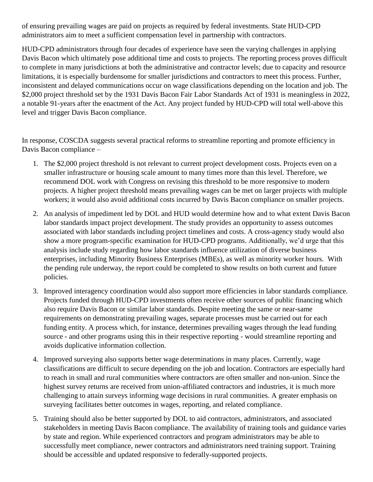of ensuring prevailing wages are paid on projects as required by federal investments. State HUD-CPD administrators aim to meet a sufficient compensation level in partnership with contractors.

HUD-CPD administrators through four decades of experience have seen the varying challenges in applying Davis Bacon which ultimately pose additional time and costs to projects. The reporting process proves difficult to complete in many jurisdictions at both the administrative and contractor levels; due to capacity and resource limitations, it is especially burdensome for smaller jurisdictions and contractors to meet this process. Further, inconsistent and delayed communications occur on wage classifications depending on the location and job. The \$2,000 project threshold set by the 1931 Davis Bacon Fair Labor Standards Act of 1931 is meaningless in 2022, a notable 91-years after the enactment of the Act. Any project funded by HUD-CPD will total well-above this level and trigger Davis Bacon compliance.

In response, COSCDA suggests several practical reforms to streamline reporting and promote efficiency in Davis Bacon compliance –

- 1. The \$2,000 project threshold is not relevant to current project development costs. Projects even on a smaller infrastructure or housing scale amount to many times more than this level. Therefore, we recommend DOL work with Congress on revising this threshold to be more responsive to modern projects. A higher project threshold means prevailing wages can be met on larger projects with multiple workers; it would also avoid additional costs incurred by Davis Bacon compliance on smaller projects.
- 2. An analysis of impediment led by DOL and HUD would determine how and to what extent Davis Bacon labor standards impact project development. The study provides an opportunity to assess outcomes associated with labor standards including project timelines and costs. A cross-agency study would also show a more program-specific examination for HUD-CPD programs. Additionally, we'd urge that this analysis include study regarding how labor standards influence utilization of diverse business enterprises, including Minority Business Enterprises (MBEs), as well as minority worker hours. With the pending rule underway, the report could be completed to show results on both current and future policies.
- 3. Improved interagency coordination would also support more efficiencies in labor standards compliance. Projects funded through HUD-CPD investments often receive other sources of public financing which also require Davis Bacon or similar labor standards. Despite meeting the same or near-same requirements on demonstrating prevailing wages, separate processes must be carried out for each funding entity. A process which, for instance, determines prevailing wages through the lead funding source - and other programs using this in their respective reporting - would streamline reporting and avoids duplicative information collection.
- 4. Improved surveying also supports better wage determinations in many places. Currently, wage classifications are difficult to secure depending on the job and location. Contractors are especially hard to reach in small and rural communities where contractors are often smaller and non-union. Since the highest survey returns are received from union-affiliated contractors and industries, it is much more challenging to attain surveys informing wage decisions in rural communities. A greater emphasis on surveying facilitates better outcomes in wages, reporting, and related compliance.
- 5. Training should also be better supported by DOL to aid contractors, administrators, and associated stakeholders in meeting Davis Bacon compliance. The availability of training tools and guidance varies by state and region. While experienced contractors and program administrators may be able to successfully meet compliance, newer contractors and administrators need training support. Training should be accessible and updated responsive to federally-supported projects.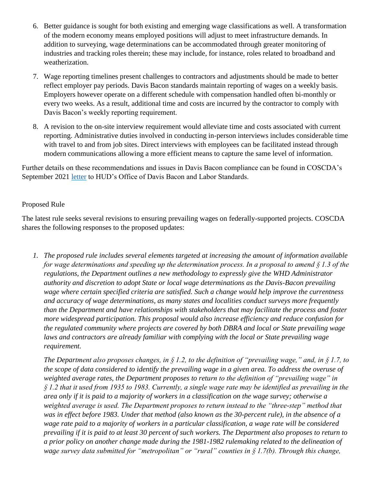- 6. Better guidance is sought for both existing and emerging wage classifications as well. A transformation of the modern economy means employed positions will adjust to meet infrastructure demands. In addition to surveying, wage determinations can be accommodated through greater monitoring of industries and tracking roles therein; these may include, for instance, roles related to broadband and weatherization.
- 7. Wage reporting timelines present challenges to contractors and adjustments should be made to better reflect employer pay periods. Davis Bacon standards maintain reporting of wages on a weekly basis. Employers however operate on a different schedule with compensation handled often bi-monthly or every two weeks. As a result, additional time and costs are incurred by the contractor to comply with Davis Bacon's weekly reporting requirement.
- 8. A revision to the on-site interview requirement would alleviate time and costs associated with current reporting. Administrative duties involved in conducting in-person interviews includes considerable time with travel to and from job sites. Direct interviews with employees can be facilitated instead through modern communications allowing a more efficient means to capture the same level of information.

Further details on these recommendations and issues in Davis Bacon compliance can be found in COSCDA's September 2021 [letter](https://coscda.org/wp-content/uploads/2021/10/COSCDA-Labor-Standards-Comments-Recommendations-September2021FINAL.pdf) to HUD's Office of Davis Bacon and Labor Standards.

## Proposed Rule

The latest rule seeks several revisions to ensuring prevailing wages on federally-supported projects. COSCDA shares the following responses to the proposed updates:

*1. The proposed rule includes several elements targeted at increasing the amount of information available for wage determinations and speeding up the determination process. In a proposal to amend § 1.3 of the regulations, the Department outlines a new methodology to expressly give the WHD Administrator authority and discretion to adopt State or local wage determinations as the Davis-Bacon prevailing wage where certain specified criteria are satisfied. Such a change would help improve the currentness and accuracy of wage determinations, as many states and localities conduct surveys more frequently than the Department and have relationships with stakeholders that may facilitate the process and foster more widespread participation. This proposal would also increase efficiency and reduce confusion for the regulated community where projects are covered by both DBRA and local or State prevailing wage laws and contractors are already familiar with complying with the local or State prevailing wage requirement.*

*The Department also proposes changes, in § 1.2, to the definition of "prevailing wage," and, in § 1.7, to the scope of data considered to identify the prevailing wage in a given area. To address the overuse of weighted average rates, the Department proposes to return to the definition of "prevailing wage" in § 1.2 that it used from 1935 to 1983. Currently, a single wage rate may be identified as prevailing in the area only if it is paid to a majority of workers in a classification on the wage survey; otherwise a weighted average is used. The Department proposes to return instead to the "three-step" method that was in effect before 1983. Under that method (also known as the 30-percent rule), in the absence of a wage rate paid to a majority of workers in a particular classification, a wage rate will be considered prevailing if it is paid to at least 30 percent of such workers. The Department also proposes to return to a prior policy on another change made during the 1981-1982 rulemaking related to the delineation of wage survey data submitted for "metropolitan" or "rural" counties in § 1.7(b). Through this change,*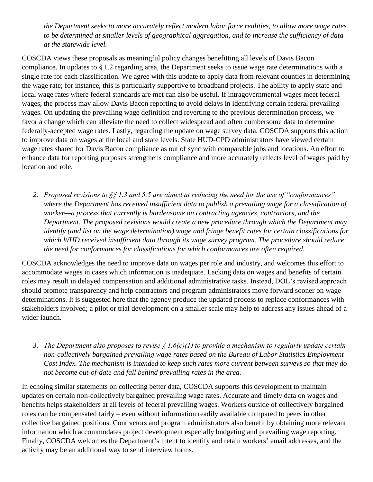*the Department seeks to more accurately reflect modern labor force realities, to allow more wage rates to be determined at smaller levels of geographical aggregation, and to increase the sufficiency of data at the statewide level.*

COSCDA views these proposals as meaningful policy changes benefitting all levels of Davis Bacon compliance. In updates to § 1.2 regarding area, the Department seeks to issue wage rate determinations with a single rate for each classification. We agree with this update to apply data from relevant counties in determining the wage rate; for instance, this is particularly supportive to broadband projects. The ability to apply state and local wage rates where federal standards are met can also be useful. If intragovernmental wages meet federal wages, the process may allow Davis Bacon reporting to avoid delays in identifying certain federal prevailing wages. On updating the prevailing wage definition and reverting to the previous determination process, we favor a change which can alleviate the need to collect widespread and often cumbersome data to determine federally-accepted wage rates. Lastly, regarding the update on wage survey data, COSCDA supports this action to improve data on wages at the local and state levels. State HUD-CPD administrators have viewed certain wage rates shared for Davis Bacon compliance as out of sync with comparable jobs and locations. An effort to enhance data for reporting purposes strengthens compliance and more accurately reflects level of wages paid by location and role.

*2. Proposed revisions to §§ 1.3 and 5.5 are aimed at reducing the need for the use of "conformances" where the Department has received insufficient data to publish a prevailing wage for a classification of worker—a process that currently is burdensome on contracting agencies, contractors, and the Department. The proposed revisions would create a new procedure through which the Department may identify (and list on the wage determination) wage and fringe benefit rates for certain classifications for which WHD received insufficient data through its wage survey program. The procedure should reduce the need for conformances for classifications for which conformances are often required.* 

COSCDA acknowledges the need to improve data on wages per role and industry, and welcomes this effort to accommodate wages in cases which information is inadequate. Lacking data on wages and benefits of certain roles may result in delayed compensation and additional administrative tasks. Instead, DOL's revised approach should promote transparency and help contractors and program administrators move forward sooner on wage determinations. It is suggested here that the agency produce the updated process to replace conformances with stakeholders involved; a pilot or trial development on a smaller scale may help to address any issues ahead of a wider launch.

*3. The Department also proposes to revise § 1.6(c)(1) to provide a mechanism to regularly update certain non-collectively bargained prevailing wage rates based on the Bureau of Labor Statistics Employment Cost Index. The mechanism is intended to keep such rates more current between surveys so that they do not become out-of-date and fall behind prevailing rates in the area.* 

In echoing similar statements on collecting better data, COSCDA supports this development to maintain updates on certain non-collectively bargained prevailing wage rates. Accurate and timely data on wages and benefits helps stakeholders at all levels of federal prevailing wages. Workers outside of collectively bargained roles can be compensated fairly – even without information readily available compared to peers in other collective bargained positions. Contractors and program administrators also benefit by obtaining more relevant information which accommodates project development especially budgeting and prevailing wage reporting. Finally, COSCDA welcomes the Department's intent to identify and retain workers' email addresses, and the activity may be an additional way to send interview forms.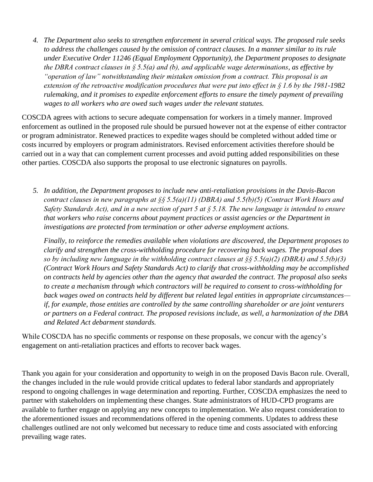*4. The Department also seeks to strengthen enforcement in several critical ways. The proposed rule seeks to address the challenges caused by the omission of contract clauses. In a manner similar to its rule under Executive Order 11246 (Equal Employment Opportunity), the Department proposes to designate the DBRA contract clauses in § 5.5(a) and (b), and applicable wage determinations, as effective by "operation of law" notwithstanding their mistaken omission from a contract. This proposal is an extension of the retroactive modification procedures that were put into effect in § 1.6 by the 1981-1982 rulemaking, and it promises to expedite enforcement efforts to ensure the timely payment of prevailing wages to all workers who are owed such wages under the relevant statutes.* 

COSCDA agrees with actions to secure adequate compensation for workers in a timely manner. Improved enforcement as outlined in the proposed rule should be pursued however not at the expense of either contractor or program administrator. Renewed practices to expedite wages should be completed without added time or costs incurred by employers or program administrators. Revised enforcement activities therefore should be carried out in a way that can complement current processes and avoid putting added responsibilities on these other parties. COSCDA also supports the proposal to use electronic signatures on payrolls.

*5. In addition, the Department proposes to include new anti-retaliation provisions in the Davis-Bacon contract clauses in new paragraphs at §§ 5.5(a)(11) (DBRA) and 5.5(b)(5) (Contract Work Hours and Safety Standards Act), and in a new section of part 5 at § 5.18. The new language is intended to ensure that workers who raise concerns about payment practices or assist agencies or the Department in investigations are protected from termination or other adverse employment actions.*

*Finally, to reinforce the remedies available when violations are discovered, the Department proposes to clarify and strengthen the cross-withholding procedure for recovering back wages. The proposal does so by including new language in the withholding contract clauses at §§ 5.5(a)(2) (DBRA) and 5.5(b)(3) (Contract Work Hours and Safety Standards Act) to clarify that cross-withholding may be accomplished on contracts held by agencies other than the agency that awarded the contract. The proposal also seeks to create a mechanism through which contractors will be required to consent to cross-withholding for back wages owed on contracts held by different but related legal entities in appropriate circumstances if, for example, those entities are controlled by the same controlling shareholder or are joint venturers or partners on a Federal contract. The proposed revisions include, as well, a harmonization of the DBA and Related Act debarment standards.* 

While COSCDA has no specific comments or response on these proposals, we concur with the agency's engagement on anti-retaliation practices and efforts to recover back wages.

Thank you again for your consideration and opportunity to weigh in on the proposed Davis Bacon rule. Overall, the changes included in the rule would provide critical updates to federal labor standards and appropriately respond to ongoing challenges in wage determination and reporting. Further, COSCDA emphasizes the need to partner with stakeholders on implementing these changes. State administrators of HUD-CPD programs are available to further engage on applying any new concepts to implementation. We also request consideration to the aforementioned issues and recommendations offered in the opening comments. Updates to address these challenges outlined are not only welcomed but necessary to reduce time and costs associated with enforcing prevailing wage rates.